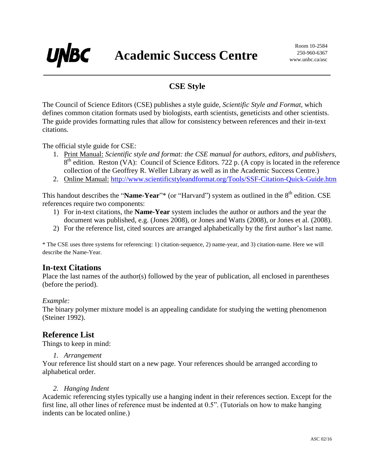# **CSE Style**

The Council of Science Editors (CSE) publishes a style guide, *Scientific Style and Format*, which defines common citation formats used by biologists, earth scientists, geneticists and other scientists. The guide provides formatting rules that allow for consistency between references and their in-text citations.

The official style guide for CSE:

**UNBC** 

- 1. Print Manual: *Scientific style and format: the CSE manual for authors, editors, and publishers,*  $8<sup>th</sup>$  edition. Reston (VA): Council of Science Editors. 722 p. (A copy is located in the reference collection of the Geoffrey R. Weller Library as well as in the Academic Success Centre.)
- 2. Online Manual: <http://www.scientificstyleandformat.org/Tools/SSF-Citation-Quick-Guide.htm>

This handout describes the "**Name-Year**"\* (or "Harvard") system as outlined in the 8<sup>th</sup> edition. CSE references require two components:

- 1) For in-text citations, the **Name-Year** system includes the author or authors and the year the document was published, e.g. (Jones 2008), or Jones and Watts (2008), or Jones et al. (2008).
- 2) For the reference list, cited sources are arranged alphabetically by the first author's last name.

\* The CSE uses three systems for referencing: 1) citation-sequence, 2) name-year, and 3) citation-name. Here we will describe the Name-Year.

### **In-text Citations**

Place the last names of the author(s) followed by the year of publication, all enclosed in parentheses (before the period).

#### *Example:*

The binary polymer mixture model is an appealing candidate for studying the wetting phenomenon (Steiner 1992).

#### **Reference List**

Things to keep in mind:

#### *1. Arrangement*

Your reference list should start on a new page. Your references should be arranged according to alphabetical order.

#### *2. Hanging Indent*

Academic referencing styles typically use a hanging indent in their references section. Except for the first line, all other lines of reference must be indented at 0.5". (Tutorials on how to make hanging indents can be located online.)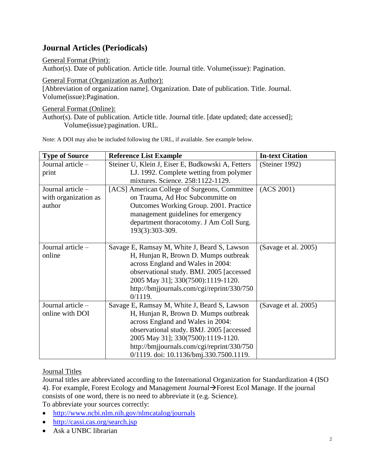# **Journal Articles (Periodicals)**

General Format (Print):

Author(s). Date of publication. Article title. Journal title. Volume(issue): Pagination.

General Format (Organization as Author): [Abbreviation of organization name]. Organization. Date of publication. Title. Journal. Volume(issue):Pagination.

General Format (Online):

Author(s). Date of publication. Article title. Journal title. [date updated; date accessed]; Volume(issue):pagination. URL.

Note: A DOI may also be included following the URL, if available. See example below.

| <b>Type of Source</b> | <b>Reference List Example</b>                     | <b>In-text Citation</b> |
|-----------------------|---------------------------------------------------|-------------------------|
| Journal article -     | Steiner U, Klein J, Eiser E, Budkowski A, Fetters | (Steiner 1992)          |
| print                 | LJ. 1992. Complete wetting from polymer           |                         |
|                       | mixtures. Science. 258:1122-1129.                 |                         |
| Journal article -     | [ACS] American College of Surgeons, Committee     | (ACS 2001)              |
| with organization as  | on Trauma, Ad Hoc Subcommitte on                  |                         |
| author                | Outcomes Working Group. 2001. Practice            |                         |
|                       | management guidelines for emergency               |                         |
|                       | department thoracotomy. J Am Coll Surg.           |                         |
|                       | 193(3):303-309.                                   |                         |
|                       |                                                   |                         |
| Journal article -     | Savage E, Ramsay M, White J, Beard S, Lawson      | (Savage et al. 2005)    |
| online                | H, Hunjan R, Brown D. Mumps outbreak              |                         |
|                       | across England and Wales in 2004:                 |                         |
|                       | observational study. BMJ. 2005 [accessed]         |                         |
|                       | 2005 May 31]; 330(7500):1119-1120.                |                         |
|                       | http://bmijournals.com/cgi/reprint/330/750        |                         |
|                       | 0/1119.                                           |                         |
| Journal article -     | Savage E, Ramsay M, White J, Beard S, Lawson      | (Savage et al. 2005)    |
| online with DOI       | H, Hunjan R, Brown D. Mumps outbreak              |                         |
|                       | across England and Wales in 2004:                 |                         |
|                       | observational study. BMJ. 2005 [accessed          |                         |
|                       | 2005 May 31]; 330(7500):1119-1120.                |                         |
|                       | http://bmjjournals.com/cgi/reprint/330/750        |                         |
|                       | 0/1119. doi: 10.1136/bmj.330.7500.1119.           |                         |

#### Journal Titles

Journal titles are abbreviated according to the International Organization for Standardization 4 (ISO 4). For example, Forest Ecology and Management Journal  $\rightarrow$  Forest Ecol Manage. If the journal consists of one word, there is no need to abbreviate it (e.g. Science). To abbreviate your sources correctly:

- <http://www.ncbi.nlm.nih.gov/nlmcatalog/journals>
- <http://cassi.cas.org/search.jsp>
- Ask a UNBC librarian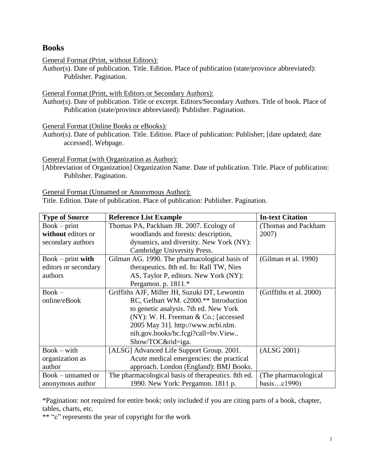### **Books**

General Format (Print, without Editors):

Author(s). Date of publication. Title. Edition. Place of publication (state/province abbreviated): Publisher. Pagination.

General Format (Print, with Editors or Secondary Authors):

Author(s). Date of publication. Title or excerpt. Editors/Secondary Authors. Title of book. Place of Publication (state/province abbreviated): Publisher. Pagination.

General Format (Online Books or eBooks):

Author(s). Date of publication. Title. Edition. Place of publication: Publisher; [date updated; date accessed]. Webpage.

General Format (with Organization as Author):

[Abbreviation of Organization] Organization Name. Date of publication. Title. Place of publication: Publisher. Pagination.

General Format (Unnamed or Anonymous Author):

Title. Edition. Date of publication. Place of publication: Publisher. Pagination.

| <b>Type of Source</b> | <b>Reference List Example</b>                      | <b>In-text Citation</b> |
|-----------------------|----------------------------------------------------|-------------------------|
| $Book - print$        | Thomas PA, Packham JR. 2007. Ecology of            | (Thomas and Packham)    |
| without editors or    | woodlands and forests: description,                | 2007)                   |
| secondary authors     | dynamics, and diversity. New York (NY):            |                         |
|                       | Cambridge University Press.                        |                         |
| $Book - print$ with   | Gilman AG. 1990. The pharmacological basis of      | (Gilman et al. 1990)    |
| editors or secondary  | therapeutics. 8th ed. In: Rall TW, Nies            |                         |
| authors               | AS, Taylor P, editors. New York (NY):              |                         |
|                       | Pergamon. p. 1811.*                                |                         |
| $Book -$              | Griffiths AJF, Miller JH, Suzuki DT, Lewontin      | (Griffiths et al. 2000) |
| online/eBook          | RC, Gelbart WM. c2000.** Introduction              |                         |
|                       | to genetic analysis. 7th ed. New York              |                         |
|                       | $(NY)$ : W. H. Freeman & Co.; [accessed]           |                         |
|                       | 2005 May 31]. http://www.ncbi.nlm.                 |                         |
|                       | nih.gov.books/bc.fcgi?call=bv.View                 |                         |
|                       | Show/TOC&rid=iga.                                  |                         |
| $Book - with$         | [ALSG] Advanced Life Support Group. 2001.          | (ALSG 2001)             |
| organization as       | Acute medical emergencies: the practical           |                         |
| author                | approach. London (England): BMJ Books.             |                         |
| Book – unnamed or     | The pharmacological basis of therapeutics. 8th ed. | (The pharmacological)   |
| anonymous author      | 1990. New York: Pergamon. 1811 p.                  | basisc1990)             |

\*Pagination: not required for entire book; only included if you are citing parts of a book, chapter, tables, charts, etc.

\*\* "c" represents the year of copyright for the work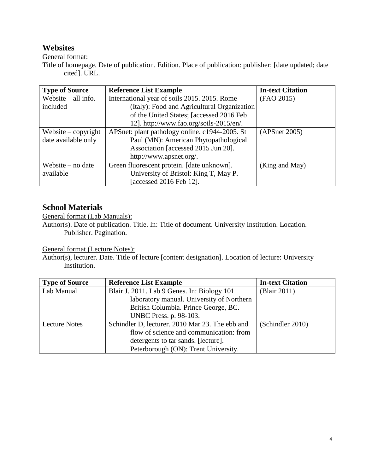## **Websites**

General format:

Title of homepage. Date of publication. Edition. Place of publication: publisher; [date updated; date cited]. URL.

| <b>Type of Source</b>            | <b>Reference List Example</b>                  | <b>In-text Citation</b> |
|----------------------------------|------------------------------------------------|-------------------------|
| Website $-$ all info.            | International year of soils 2015. 2015. Rome   | (FAO 2015)              |
| included                         | (Italy): Food and Agricultural Organization    |                         |
|                                  | of the United States; [accessed 2016 Feb       |                         |
|                                  | 12]. http://www.fao.org/soils-2015/en/.        |                         |
| Website $-\frac{1}{2}$ copyright | APSnet: plant pathology online. c1944-2005. St | (APSnet 2005)           |
| date available only              | Paul (MN): American Phytopathological          |                         |
|                                  | Association [accessed 2015 Jun 20].            |                         |
|                                  | http://www.apsnet.org/.                        |                         |
| Website – no date                | Green fluorescent protein. [date unknown].     | (King and May)          |
| available                        | University of Bristol: King T, May P.          |                         |
|                                  | [accessed 2016 Feb 12].                        |                         |

## **School Materials**

General format (Lab Manuals):

Author(s). Date of publication. Title. In: Title of document. University Institution. Location. Publisher. Pagination.

General format (Lecture Notes):

Author(s), lecturer. Date. Title of lecture [content designation]. Location of lecture: University Institution.

| <b>Type of Source</b> | <b>Reference List Example</b>                   | <b>In-text Citation</b> |
|-----------------------|-------------------------------------------------|-------------------------|
| Lab Manual            | Blair J. 2011. Lab 9 Genes. In: Biology 101     | (Blair 2011)            |
|                       | laboratory manual. University of Northern       |                         |
|                       | British Columbia. Prince George, BC.            |                         |
|                       | UNBC Press. p. 98-103.                          |                         |
| <b>Lecture Notes</b>  | Schindler D, lecturer. 2010 Mar 23. The ebb and | (Schindler 2010)        |
|                       | flow of science and communication: from         |                         |
|                       | detergents to tar sands. [lecture].             |                         |
|                       | Peterborough (ON): Trent University.            |                         |